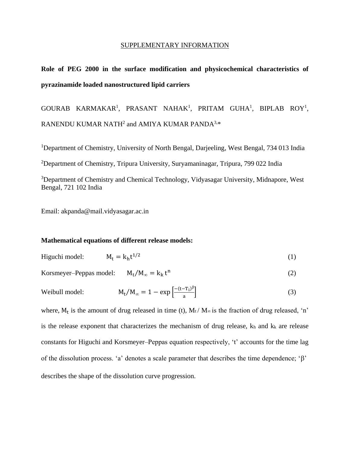## SUPPLEMENTARY INFORMATION

## **Role of PEG 2000 in the surface modification and physicochemical characteristics of pyrazinamide loaded nanostructured lipid carriers**

GOURAB KARMAKAR<sup>1</sup>, PRASANT NAHAK<sup>1</sup>, PRITAM GUHA<sup>1</sup>, BIPLAB ROY<sup>1</sup>, RANENDU KUMAR NATH $^2$  and AMIYA KUMAR PANDA $^{3,\ast}$ 

<sup>1</sup>Department of Chemistry, University of North Bengal, Darjeeling, West Bengal, 734 013 India

<sup>2</sup>Department of Chemistry, Tripura University, Suryamaninagar, Tripura, 799 022 India

<sup>3</sup>Department of Chemistry and Chemical Technology, Vidyasagar University, Midnapore, West Bengal, 721 102 India

Email: akpanda@mail.vidyasagar.ac.in

## **Mathematical equations of different release models:**

$$
Highi model: \t Mt = kht1/2
$$
\t(1)

Korsmeyer–Peppas model:  $M_t/M_\infty = k_k t^n$ (2)

Weibull model: 
$$
M_t/M_\infty = 1 - \exp\left[\frac{-(t-T_i)^\beta}{a}\right]
$$
 (3)

where,  $M_t$  is the amount of drug released in time (t),  $M_t / M_\infty$  is the fraction of drug released, 'n' is the release exponent that characterizes the mechanism of drug release,  $k_h$  and  $k_k$  are release constants for Higuchi and Korsmeyer–Peppas equation respectively, 't' accounts for the time lag of the dissolution process. 'a' denotes a scale parameter that describes the time dependence; ' $\beta$ ' describes the shape of the dissolution curve progression.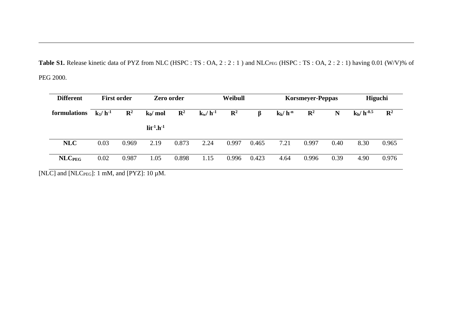Table S1. Release kinetic data of PYZ from NLC (HSPC : TS : OA, 2 : 2 : 1) and NLC<sub>PEG</sub> (HSPC : TS : OA, 2 : 2 : 1) having 0.01 (W/V)% of PEG 2000.

| <b>Different</b><br>formulations | <b>First order</b> |                | Zero order        |                | Weibull      |                |         | <b>Korsmeyer-Peppas</b> |                |      | Higuchi        |                |
|----------------------------------|--------------------|----------------|-------------------|----------------|--------------|----------------|---------|-------------------------|----------------|------|----------------|----------------|
|                                  | $k_1/h^{-1}$       | $\mathbf{R}^2$ | $k_0/mol$         | $\mathbf{R}^2$ | $k_w/h^{-1}$ | $\mathbf{R}^2$ | $\beta$ | $k_k/h^{-n}$            | $\mathbf{R}^2$ | N    | $k_h/h^{-0.5}$ | $\mathbf{R}^2$ |
|                                  |                    |                | $lit^{-1}.h^{-1}$ |                |              |                |         |                         |                |      |                |                |
| <b>NLC</b>                       | 0.03               | 0.969          | 2.19              | 0.873          | 2.24         | 0.997          | 0.465   | 7.21                    | 0.997          | 0.40 | 8.30           | 0.965          |
| <b>NLC</b> <sub>PEG</sub>        | 0.02               | 0.987          | 1.05              | 0.898          | 1.15         | 0.996          | 0.423   | 4.64                    | 0.996          | 0.39 | 4.90           | 0.976          |

[NLC] and [NLC $_{\text{PEG}}$ ]: 1 mM, and [PYZ]: 10  $\mu$ M.